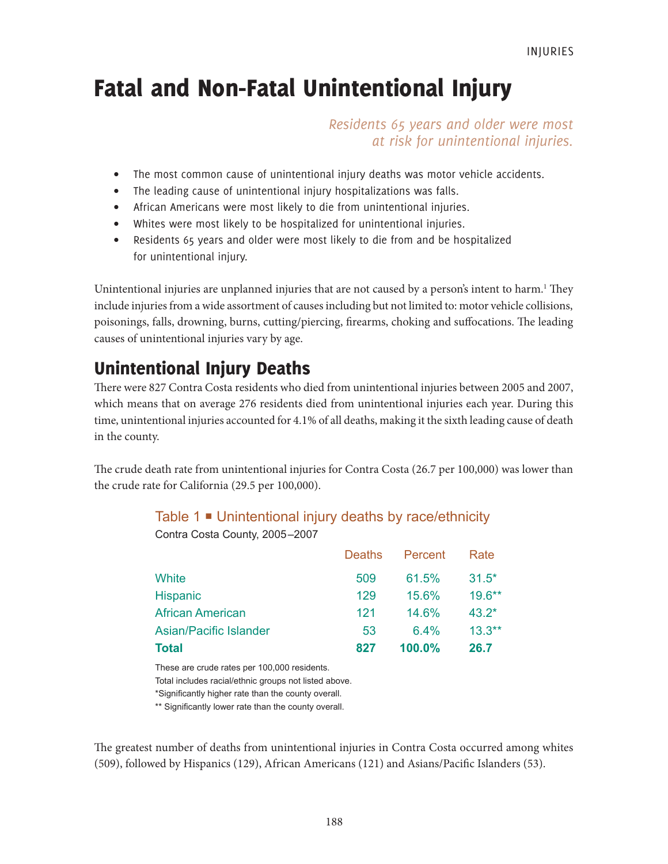# Fatal and Non-Fatal Unintentional Injury

*Residents 65 years and older were most at risk for unintentional injuries.*

- The most common cause of unintentional injury deaths was motor vehicle accidents.
- The leading cause of unintentional injury hospitalizations was falls.
- African Americans were most likely to die from unintentional injuries.
- Whites were most likely to be hospitalized for unintentional injuries.
- Residents 65 years and older were most likely to die from and be hospitalized for unintentional injury.

Unintentional injuries are unplanned injuries that are not caused by a person's intent to harm.<sup>1</sup> They include injuries from a wide assortment of causes including but not limited to: motor vehicle collisions, poisonings, falls, drowning, burns, cutting/piercing, firearms, choking and suffocations. The leading causes of unintentional injuries vary by age.

## Unintentional Injury Deaths

There were 827 Contra Costa residents who died from unintentional injuries between 2005 and 2007, which means that on average 276 residents died from unintentional injuries each year. During this time, unintentional injuries accounted for 4.1% of all deaths, making it the sixth leading cause of death in the county.

The crude death rate from unintentional injuries for Contra Costa (26.7 per 100,000) was lower than the crude rate for California (29.5 per 100,000).

#### Table 1 Unintentional injury deaths by race/ethnicity

Contra Costa County, 2005–2007

|                         | Deaths | Percent | Rate      |
|-------------------------|--------|---------|-----------|
| White                   | 509    | 61.5%   | $31.5*$   |
| <b>Hispanic</b>         | 129    | 15.6%   | $19.6***$ |
| <b>African American</b> | 121    | 14.6%   | $43.2*$   |
| Asian/Pacific Islander  | 53     | 64%     | $13.3**$  |
| <b>Total</b>            | 827    | 100.0%  | 26.7      |

These are crude rates per 100,000 residents. Total includes racial/ethnic groups not listed above. \*Significantly higher rate than the county overall.

\*\* Significantly lower rate than the county overall.

The greatest number of deaths from unintentional injuries in Contra Costa occurred among whites (509), followed by Hispanics (129), African Americans (121) and Asians/Pacific Islanders (53).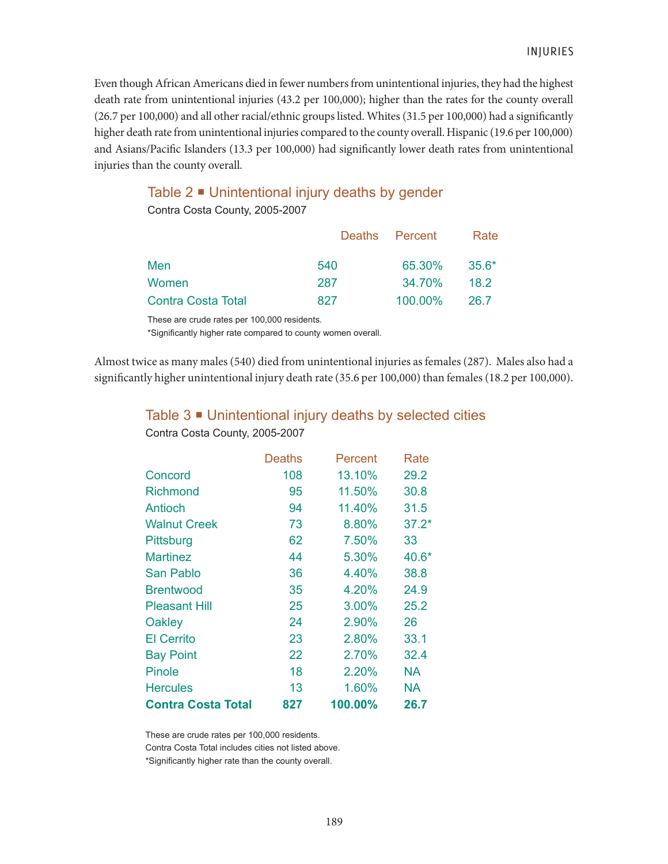Even though African Americans died in fewer numbers from unintentional injuries, they had the highest death rate from unintentional injuries (43.2 per 100,000); higher than the rates for the county overall (26.7 per 100,000) and all other racial/ethnic groups listed. Whites (31.5 per 100,000) had a significantly higher death rate from unintentional injuries compared to the county overall. Hispanic (19.6 per 100,000) and Asians/Pacific Islanders (13.3 per 100,000) had significantly lower death rates from unintentional injuries than the county overall.

### Table  $2 \equiv$  Unintentional injury deaths by gender

Contra Costa County, 2005-2007

|                           |     | Deaths Percent | Rate    |
|---------------------------|-----|----------------|---------|
| Men                       | 540 | 65.30%         | $35.6*$ |
| Women                     | 287 | 34.70%         | 18.2    |
| <b>Contra Costa Total</b> | 827 | 100.00%        | 26.7    |

These are crude rates per 100,000 residents.

\*Significantly higher rate compared to county women overall.

Almost twice as many males (540) died from unintentional injuries as females (287). Males also had a significantly higher unintentional injury death rate (35.6 per 100,000) than females (18.2 per 100,000).

Table 3 Unintentional injury deaths by selected cities

|                           | <b>Deaths</b> | Percent | Rate      |
|---------------------------|---------------|---------|-----------|
| Concord                   | 108           | 13.10%  | 29.2      |
| <b>Richmond</b>           | 95            | 11.50%  | 30.8      |
| <b>Antioch</b>            | 94            | 11.40%  | 31.5      |
| <b>Walnut Creek</b>       | 73            | 8.80%   | $37.2*$   |
| <b>Pittsburg</b>          | 62            | 7.50%   | 33        |
| <b>Martinez</b>           | 44            | 5.30%   | 40.6*     |
| San Pablo                 | 36            | 4.40%   | 38.8      |
| <b>Brentwood</b>          | 35            | 4.20%   | 24.9      |
| <b>Pleasant Hill</b>      | 25            | 3.00%   | 25.2      |
| Oakley                    | 24            | 2.90%   | 26        |
| <b>El Cerrito</b>         | 23            | 2.80%   | 33.1      |
| <b>Bay Point</b>          | 22            | 2.70%   | 32.4      |
| Pinole                    | 18            | 2.20%   | <b>NA</b> |
| <b>Hercules</b>           | 13            | 1.60%   | <b>NA</b> |
| <b>Contra Costa Total</b> | 827           | 100.00% | 26.7      |

Contra Costa County, 2005-2007

These are crude rates per 100,000 residents.

Contra Costa Total includes cities not listed above.

\*Significantly higher rate than the county overall.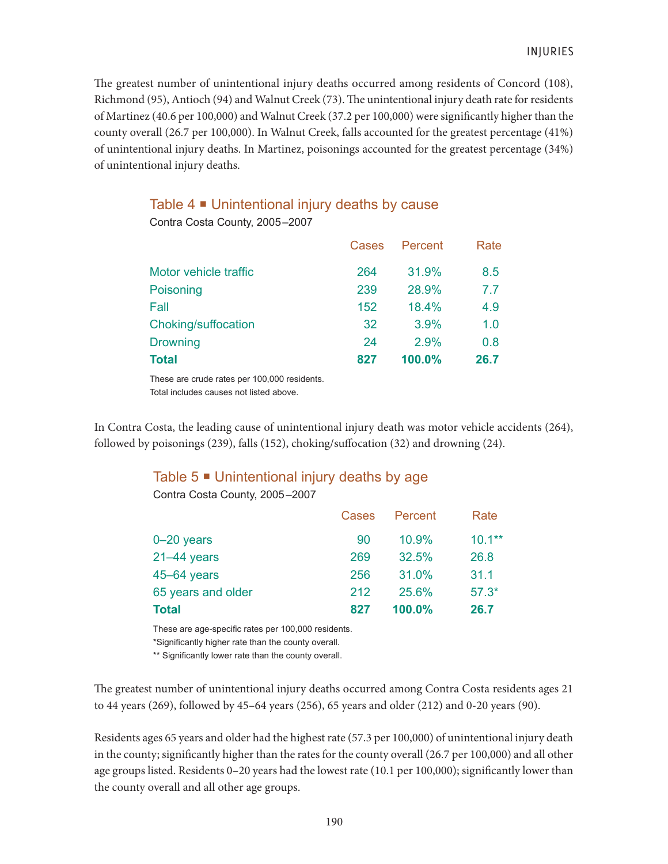The greatest number of unintentional injury deaths occurred among residents of Concord (108), Richmond (95), Antioch (94) and Walnut Creek (73). The unintentional injury death rate for residents of Martinez (40.6 per 100,000) and Walnut Creek (37.2 per 100,000) were significantly higher than the county overall (26.7 per 100,000). In Walnut Creek, falls accounted for the greatest percentage (41%) of unintentional injury deaths. In Martinez, poisonings accounted for the greatest percentage (34%) of unintentional injury deaths.

## Table 4 Unintentional injury deaths by cause

Contra Costa County, 2005–2007

|                       | Cases | Percent | Rate |
|-----------------------|-------|---------|------|
| Motor vehicle traffic | 264   | 31.9%   | 8.5  |
| Poisoning             | 239   | 28.9%   | 7.7  |
| Fall                  | 152   | 18.4%   | 4.9  |
| Choking/suffocation   | 32    | 3.9%    | 1.0  |
| <b>Drowning</b>       | 24    | 2.9%    | 0.8  |
| <b>Total</b>          | 827   | 100.0%  | 26.7 |

These are crude rates per 100,000 residents. Total includes causes not listed above.

In Contra Costa, the leading cause of unintentional injury death was motor vehicle accidents (264), followed by poisonings (239), falls (152), choking/suffocation (32) and drowning (24).

#### Table  $5 \equiv$  Unintentional injury deaths by age

Contra Costa County, 2005–2007

| Cases |        | Rate      |
|-------|--------|-----------|
| 90    | 10.9%  | $10.1***$ |
| 269   | 32.5%  | 26.8      |
| 256   | 31.0%  | 31.1      |
| 212   | 25.6%  | $57.3*$   |
| 827   | 100.0% | 26.7      |
|       |        | Percent   |

These are age-specific rates per 100,000 residents.

\*Significantly higher rate than the county overall.

\*\* Significantly lower rate than the county overall.

The greatest number of unintentional injury deaths occurred among Contra Costa residents ages 21 to 44 years (269), followed by 45–64 years (256), 65 years and older (212) and 0-20 years (90).

Residents ages 65 years and older had the highest rate (57.3 per 100,000) of unintentional injury death in the county; significantly higher than the rates for the county overall (26.7 per 100,000) and all other age groups listed. Residents 0–20 years had the lowest rate (10.1 per 100,000); significantly lower than the county overall and all other age groups.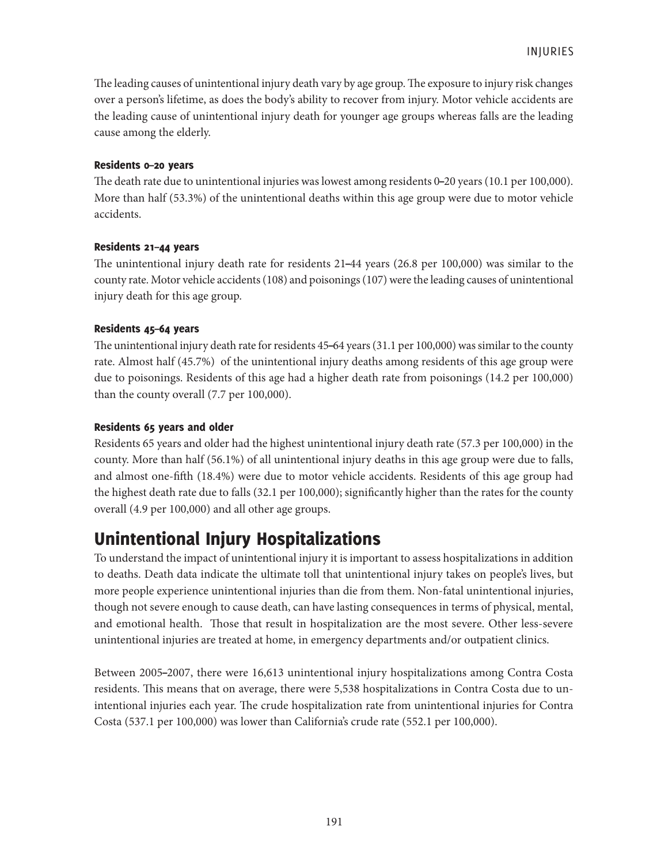The leading causes of unintentional injury death vary by age group. The exposure to injury risk changes over a person's lifetime, as does the body's ability to recover from injury. Motor vehicle accidents are the leading cause of unintentional injury death for younger age groups whereas falls are the leading cause among the elderly.

#### Residents 0–20 years

The death rate due to unintentional injuries was lowest among residents 0–20 years (10.1 per 100,000). More than half (53.3%) of the unintentional deaths within this age group were due to motor vehicle accidents.

#### Residents 21–44 years

The unintentional injury death rate for residents 21–44 years (26.8 per 100,000) was similar to the county rate. Motor vehicle accidents (108) and poisonings (107) were the leading causes of unintentional injury death for this age group.

#### Residents 45–64 years

The unintentional injury death rate for residents 45–64 years (31.1 per 100,000) was similar to the county rate. Almost half (45.7%) of the unintentional injury deaths among residents of this age group were due to poisonings. Residents of this age had a higher death rate from poisonings (14.2 per 100,000) than the county overall (7.7 per 100,000).

#### Residents 65 years and older

Residents 65 years and older had the highest unintentional injury death rate (57.3 per 100,000) in the county. More than half (56.1%) of all unintentional injury deaths in this age group were due to falls, and almost one-fifth (18.4%) were due to motor vehicle accidents. Residents of this age group had the highest death rate due to falls (32.1 per 100,000); significantly higher than the rates for the county overall (4.9 per 100,000) and all other age groups.

## Unintentional Injury Hospitalizations

To understand the impact of unintentional injury it is important to assess hospitalizations in addition to deaths. Death data indicate the ultimate toll that unintentional injury takes on people's lives, but more people experience unintentional injuries than die from them. Non-fatal unintentional injuries, though not severe enough to cause death, can have lasting consequences in terms of physical, mental, and emotional health. Those that result in hospitalization are the most severe. Other less-severe unintentional injuries are treated at home, in emergency departments and/or outpatient clinics.

Between 2005–2007, there were 16,613 unintentional injury hospitalizations among Contra Costa residents. This means that on average, there were 5,538 hospitalizations in Contra Costa due to unintentional injuries each year. The crude hospitalization rate from unintentional injuries for Contra Costa (537.1 per 100,000) was lower than California's crude rate (552.1 per 100,000).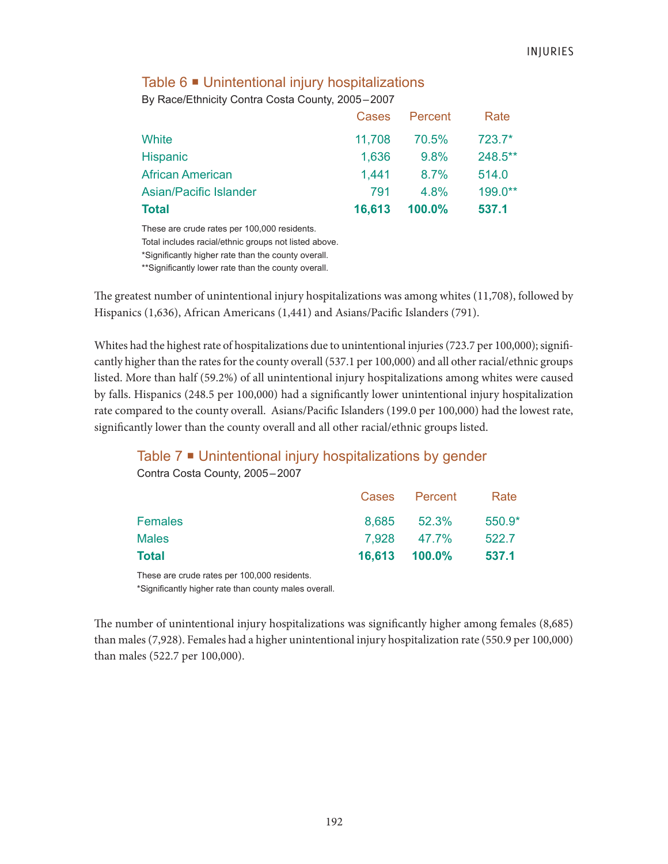#### Table  $6 \blacksquare$  Unintentional injury hospitalizations

By Race/Ethnicity Contra Costa County, 2005–2007

| <b>Total</b>            | 16,613 | $100.0\%$ | 537.1    |
|-------------------------|--------|-----------|----------|
| Asian/Pacific Islander  | 791    | $4.8\%$   | 199.0**  |
| <b>African American</b> | 1.441  | 8.7%      | 514.0    |
| <b>Hispanic</b>         | 1,636  | 9.8%      | 248.5**  |
| White                   | 11,708 | 70.5%     | $723.7*$ |
|                         | Cases  | Percent   | Rate     |

These are crude rates per 100,000 residents.

Total includes racial/ethnic groups not listed above.

\*Significantly higher rate than the county overall.

\*\*Significantly lower rate than the county overall.

The greatest number of unintentional injury hospitalizations was among whites (11,708), followed by Hispanics (1,636), African Americans (1,441) and Asians/Pacific Islanders (791).

Whites had the highest rate of hospitalizations due to unintentional injuries (723.7 per 100,000); significantly higher than the rates for the county overall (537.1 per 100,000) and all other racial/ethnic groups listed. More than half (59.2%) of all unintentional injury hospitalizations among whites were caused by falls. Hispanics (248.5 per 100,000) had a significantly lower unintentional injury hospitalization rate compared to the county overall. Asians/Pacific Islanders (199.0 per 100,000) had the lowest rate, significantly lower than the county overall and all other racial/ethnic groups listed.

#### Table 7 <sup>■</sup> Unintentional injury hospitalizations by gender

Contra Costa County, 2005–2007

|                | Cases Percent | Rate     |
|----------------|---------------|----------|
| <b>Females</b> | 8,685 52.3%   | $550.9*$ |
| <b>Males</b>   | 7.928 47.7%   | 522.7    |
| Total          | 16,613 100.0% | 537.1    |

These are crude rates per 100,000 residents.

\*Significantly higher rate than county males overall.

The number of unintentional injury hospitalizations was significantly higher among females (8,685) than males (7,928). Females had a higher unintentional injury hospitalization rate (550.9 per 100,000) than males (522.7 per 100,000).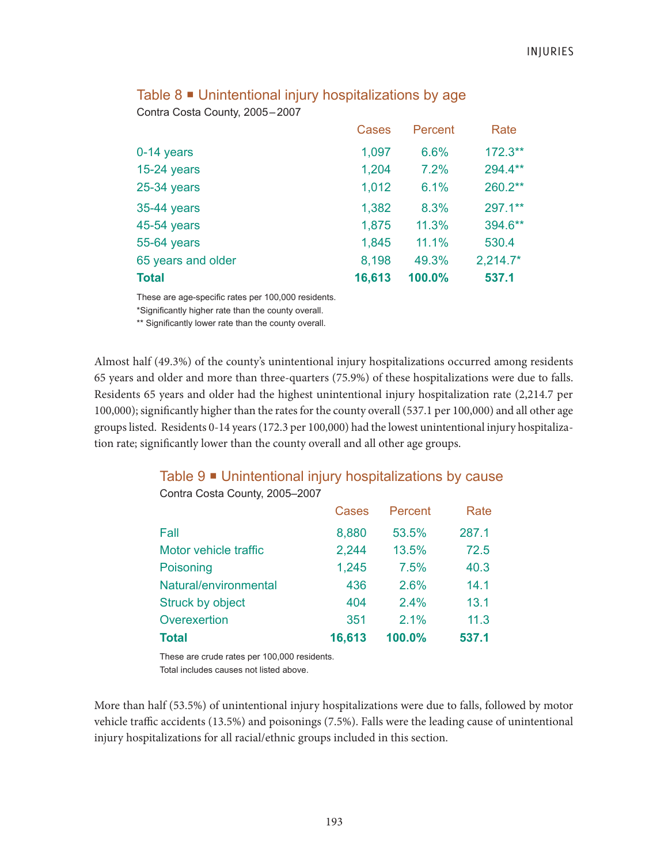|                    | <b>Cases</b> | Percent | Rate       |
|--------------------|--------------|---------|------------|
| 0-14 years         | 1,097        | 6.6%    | $172.3**$  |
| $15-24$ years      | 1,204        | 7.2%    | 294.4**    |
| 25-34 years        | 1,012        | 6.1%    | $260.2**$  |
| 35-44 years        | 1,382        | 8.3%    | 297.1**    |
| 45-54 years        | 1,875        | 11.3%   | 394.6**    |
| 55-64 years        | 1,845        | 11.1%   | 530.4      |
| 65 years and older | 8,198        | 49.3%   | $2,214.7*$ |
| <b>Total</b>       | 16,613       | 100.0%  | 537.1      |

#### Table 8 ■ Unintentional injury hospitalizations by age

Contra Costa County, 2005–2007

These are age-specific rates per 100,000 residents.

\*Significantly higher rate than the county overall.

\*\* Significantly lower rate than the county overall.

Almost half (49.3%) of the county's unintentional injury hospitalizations occurred among residents 65 years and older and more than three-quarters (75.9%) of these hospitalizations were due to falls. Residents 65 years and older had the highest unintentional injury hospitalization rate (2,214.7 per 100,000); significantly higher than the rates for the county overall (537.1 per 100,000) and all other age groups listed. Residents 0-14 years (172.3 per 100,000) had the lowest unintentional injury hospitalization rate; significantly lower than the county overall and all other age groups.

### Table 9 Unintentional injury hospitalizations by cause

|                         | Cases  | Percent | Rate  |
|-------------------------|--------|---------|-------|
| Fall                    | 8,880  | 53.5%   | 287.1 |
| Motor vehicle traffic   | 2,244  | 13.5%   | 72.5  |
| Poisoning               | 1,245  | 7.5%    | 40.3  |
| Natural/environmental   | 436    | 2.6%    | 14.1  |
| <b>Struck by object</b> | 404    | 2.4%    | 13.1  |
| Overexertion            | 351    | 2.1%    | 11.3  |
| <b>Total</b>            | 16,613 | 100.0%  | 537.1 |

Contra Costa County, 2005–2007

These are crude rates per 100,000 residents. Total includes causes not listed above.

More than half (53.5%) of unintentional injury hospitalizations were due to falls, followed by motor vehicle traffic accidents (13.5%) and poisonings (7.5%). Falls were the leading cause of unintentional injury hospitalizations for all racial/ethnic groups included in this section.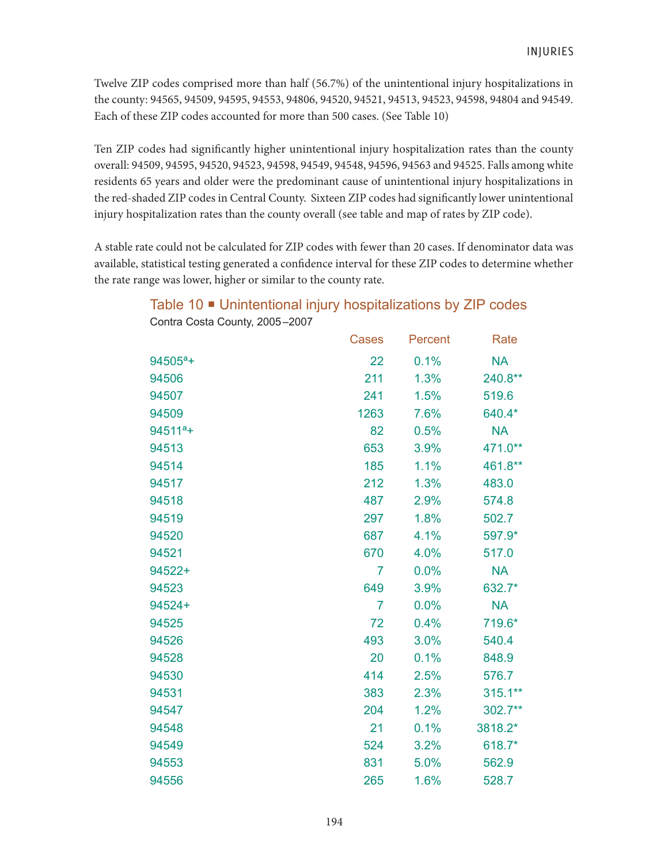Twelve ZIP codes comprised more than half (56.7%) of the unintentional injury hospitalizations in the county: 94565, 94509, 94595, 94553, 94806, 94520, 94521, 94513, 94523, 94598, 94804 and 94549. Each of these ZIP codes accounted for more than 500 cases. (See Table 10)

Ten ZIP codes had significantly higher unintentional injury hospitalization rates than the county overall: 94509, 94595, 94520, 94523, 94598, 94549, 94548, 94596, 94563 and 94525. Falls among white residents 65 years and older were the predominant cause of unintentional injury hospitalizations in the red-shaded ZIP codes in Central County. Sixteen ZIP codes had significantly lower unintentional injury hospitalization rates than the county overall (see table and map of rates by ZIP code).

A stable rate could not be calculated for ZIP codes with fewer than 20 cases. If denominator data was available, statistical testing generated a confidence interval for these ZIP codes to determine whether the rate range was lower, higher or similar to the county rate.

|              | <b>Cases</b> | Percent | Rate       |
|--------------|--------------|---------|------------|
| $94505^a +$  | 22           | 0.1%    | <b>NA</b>  |
| 94506        | 211          | 1.3%    | 240.8**    |
| 94507        | 241          | 1.5%    | 519.6      |
| 94509        | 1263         | 7.6%    | 640.4*     |
| $94511^{a}+$ | 82           | 0.5%    | <b>NA</b>  |
| 94513        | 653          | 3.9%    | 471.0**    |
| 94514        | 185          | 1.1%    | 461.8**    |
| 94517        | 212          | 1.3%    | 483.0      |
| 94518        | 487          | 2.9%    | 574.8      |
| 94519        | 297          | 1.8%    | 502.7      |
| 94520        | 687          | 4.1%    | 597.9*     |
| 94521        | 670          | 4.0%    | 517.0      |
| 94522+       | 7            | 0.0%    | <b>NA</b>  |
| 94523        | 649          | 3.9%    | 632.7*     |
| 94524+       | 7            | 0.0%    | <b>NA</b>  |
| 94525        | 72           | 0.4%    | 719.6*     |
| 94526        | 493          | 3.0%    | 540.4      |
| 94528        | 20           | 0.1%    | 848.9      |
| 94530        | 414          | 2.5%    | 576.7      |
| 94531        | 383          | 2.3%    | $315.1***$ |
| 94547        | 204          | 1.2%    | 302.7**    |
| 94548        | 21           | 0.1%    | 3818.2*    |
| 94549        | 524          | 3.2%    | 618.7*     |
| 94553        | 831          | 5.0%    | 562.9      |
| 94556        | 265          | 1.6%    | 528.7      |

Table 10 **·** Unintentional injury hospitalizations by ZIP codes Contra Costa County, 2005–2007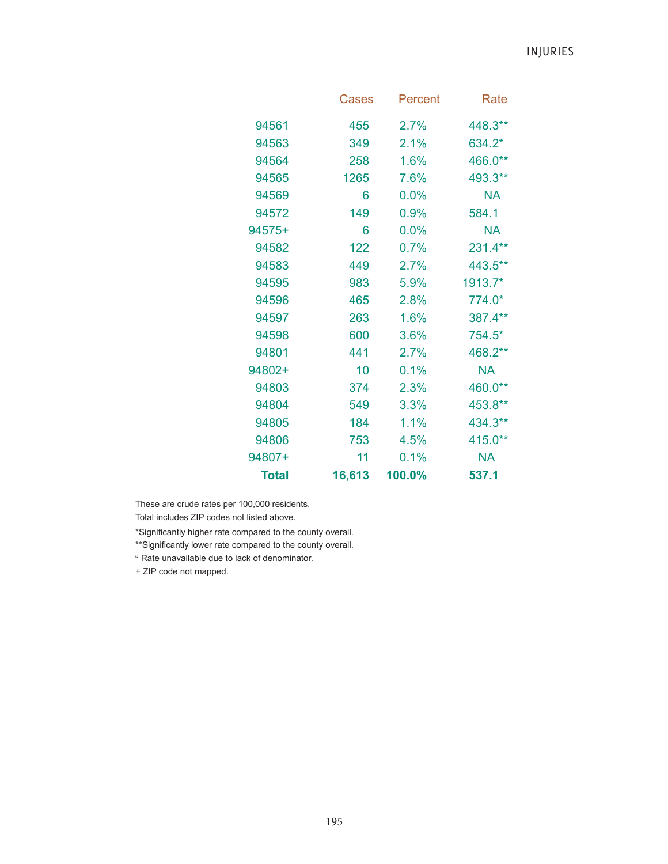INJURIES

|              | <b>Cases</b> | Percent | Rate      |
|--------------|--------------|---------|-----------|
| 94561        | 455          | 2.7%    | 448.3**   |
| 94563        | 349          | 2.1%    | 634.2*    |
| 94564        | 258          | 1.6%    | 466.0**   |
| 94565        | 1265         | 7.6%    | 493.3**   |
| 94569        | 6            | 0.0%    | NA        |
| 94572        | 149          | 0.9%    | 584.1     |
| 94575+       | 6            | 0.0%    | <b>NA</b> |
| 94582        | 122          | 0.7%    | 231.4**   |
| 94583        | 449          | 2.7%    | 443.5**   |
| 94595        | 983          | 5.9%    | 1913.7*   |
| 94596        | 465          | 2.8%    | 774.0*    |
| 94597        | 263          | 1.6%    | 387.4**   |
| 94598        | 600          | 3.6%    | 754.5*    |
| 94801        | 441          | 2.7%    | 468.2**   |
| 94802+       | 10           | 0.1%    | <b>NA</b> |
| 94803        | 374          | 2.3%    | 460.0**   |
| 94804        | 549          | 3.3%    | 453.8**   |
| 94805        | 184          | 1.1%    | 434.3**   |
| 94806        | 753          | 4.5%    | 415.0**   |
| 94807+       | 11           | 0.1%    | NA        |
| <b>Total</b> | 16,613       | 100.0%  | 537.1     |

These are crude rates per 100,000 residents.

Total includes ZIP codes not listed above.

\*Significantly higher rate compared to the county overall.

\*\*Significantly lower rate compared to the county overall.

ª Rate unavailable due to lack of denominator.

+ ZIP code not mapped.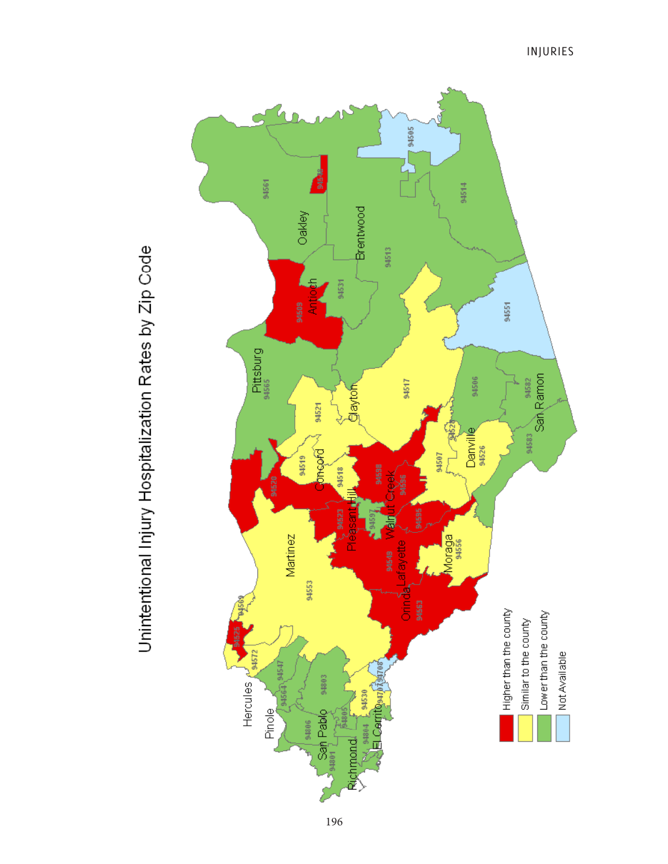G 794505 94561 94514 Brentwood Oakley 94513 94531 Pittsburg<br>94565 94517 94506 **Glaytof** 94521 Danville š 94507 **SACOLO** 94519 94518 94598 Martinez Moraga<br>94556 94549 araye 94553 ජී<br>ටිට Higher than the county 94572 Hercules 94803 94530 **UP60** Pinole San Pablo 94806 eky<br>모<br>S 9480 Richmond 94801

Unintentional Injury Hospitalization Rates by Zip Code

94551

94583<br>San Ramon

Lower than the county Similar to the county

Not Available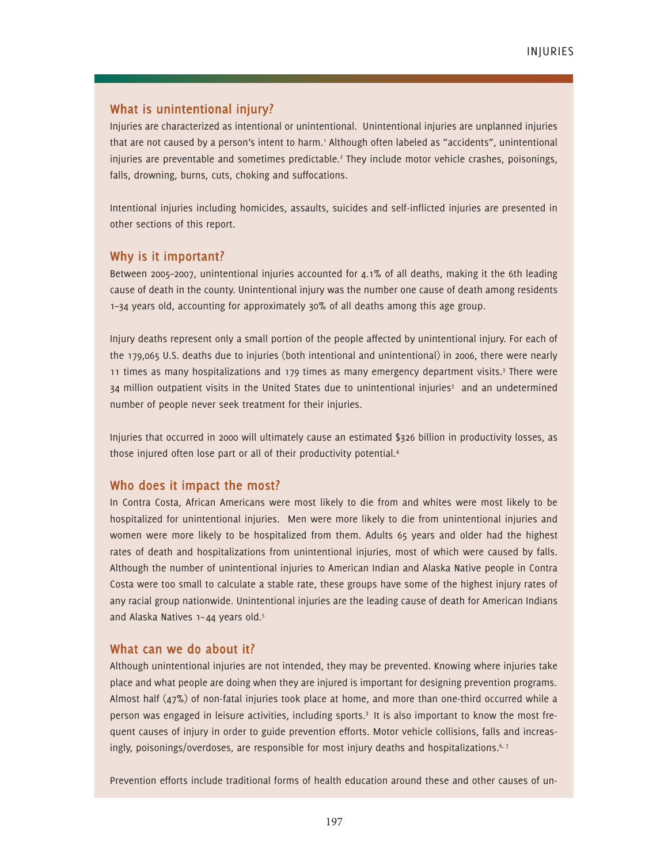#### **What is unintentional injury?**

Injuries are characterized as intentional or unintentional. Unintentional injuries are unplanned injuries that are not caused by a person's intent to harm.<sup>1</sup> Although often labeled as "accidents", unintentional injuries are preventable and sometimes predictable.<sup>2</sup> They include motor vehicle crashes, poisonings, falls, drowning, burns, cuts, choking and suffocations.

Intentional injuries including homicides, assaults, suicides and self-inflicted injuries are presented in other sections of this report.

#### **Why is it important?**

Between 2005–2007, unintentional injuries accounted for 4.1% of all deaths, making it the 6th leading cause of death in the county. Unintentional injury was the number one cause of death among residents 1–34 years old, accounting for approximately 30% of all deaths among this age group.

Injury deaths represent only a small portion of the people affected by unintentional injury. For each of the 179,065 U.S. deaths due to injuries (both intentional and unintentional) in 2006, there were nearly 11 times as many hospitalizations and 179 times as many emergency department visits.3 There were 34 million outpatient visits in the United States due to unintentional injuries<sup>3</sup> and an undetermined number of people never seek treatment for their injuries.

Injuries that occurred in 2000 will ultimately cause an estimated \$326 billion in productivity losses, as those injured often lose part or all of their productivity potential.4

#### **Who does it impact the most?**

In Contra Costa, African Americans were most likely to die from and whites were most likely to be hospitalized for unintentional injuries. Men were more likely to die from unintentional injuries and women were more likely to be hospitalized from them. Adults 65 years and older had the highest rates of death and hospitalizations from unintentional injuries, most of which were caused by falls. Although the number of unintentional injuries to American Indian and Alaska Native people in Contra Costa were too small to calculate a stable rate, these groups have some of the highest injury rates of any racial group nationwide. Unintentional injuries are the leading cause of death for American Indians and Alaska Natives 1-44 years old.<sup>5</sup>

#### **What can we do about it?**

Although unintentional injuries are not intended, they may be prevented. Knowing where injuries take place and what people are doing when they are injured is important for designing prevention programs. Almost half (47%) of non-fatal injuries took place at home, and more than one-third occurred while a person was engaged in leisure activities, including sports.3 It is also important to know the most frequent causes of injury in order to guide prevention efforts. Motor vehicle collisions, falls and increasingly, poisonings/overdoses, are responsible for most injury deaths and hospitalizations.<sup>6, 7</sup>

Prevention efforts include traditional forms of health education around these and other causes of un-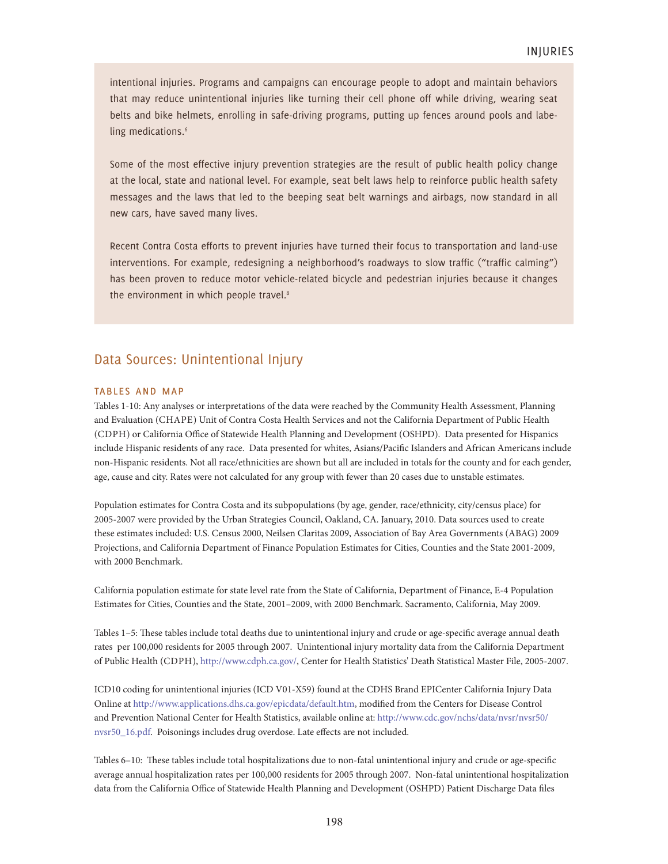intentional injuries. Programs and campaigns can encourage people to adopt and maintain behaviors that may reduce unintentional injuries like turning their cell phone off while driving, wearing seat belts and bike helmets, enrolling in safe-driving programs, putting up fences around pools and labeling medications.<sup>6</sup>

Some of the most effective injury prevention strategies are the result of public health policy change at the local, state and national level. For example, seat belt laws help to reinforce public health safety messages and the laws that led to the beeping seat belt warnings and airbags, now standard in all new cars, have saved many lives.

Recent Contra Costa efforts to prevent injuries have turned their focus to transportation and land-use interventions. For example, redesigning a neighborhood's roadways to slow traffic ("traffic calming") has been proven to reduce motor vehicle-related bicycle and pedestrian injuries because it changes the environment in which people travel.<sup>8</sup>

#### Data Sources: Unintentional Injury

#### tables and map

Tables 1-10: Any analyses or interpretations of the data were reached by the Community Health Assessment, Planning and Evaluation (CHAPE) Unit of Contra Costa Health Services and not the California Department of Public Health (CDPH) or California Office of Statewide Health Planning and Development (OSHPD). Data presented for Hispanics include Hispanic residents of any race. Data presented for whites, Asians/Pacific Islanders and African Americans include non-Hispanic residents. Not all race/ethnicities are shown but all are included in totals for the county and for each gender, age, cause and city. Rates were not calculated for any group with fewer than 20 cases due to unstable estimates.

Population estimates for Contra Costa and its subpopulations (by age, gender, race/ethnicity, city/census place) for 2005-2007 were provided by the Urban Strategies Council, Oakland, CA. January, 2010. Data sources used to create these estimates included: U.S. Census 2000, Neilsen Claritas 2009, Association of Bay Area Governments (ABAG) 2009 Projections, and California Department of Finance Population Estimates for Cities, Counties and the State 2001-2009, with 2000 Benchmark.

California population estimate for state level rate from the State of California, Department of Finance, E-4 Population Estimates for Cities, Counties and the State, 2001–2009, with 2000 Benchmark. Sacramento, California, May 2009.

Tables 1–5: These tables include total deaths due to unintentional injury and crude or age-specific average annual death rates per 100,000 residents for 2005 through 2007. Unintentional injury mortality data from the California Department of Public Health (CDPH), http://www.cdph.ca.gov/, Center for Health Statistics' Death Statistical Master File, 2005-2007.

ICD10 coding for unintentional injuries (ICD V01-X59) found at the CDHS Brand EPICenter California Injury Data Online at http://www.applications.dhs.ca.gov/epicdata/default.htm, modified from the Centers for Disease Control and Prevention National Center for Health Statistics, available online at: http://www.cdc.gov/nchs/data/nvsr/nvsr50/ nvsr50\_16.pdf. Poisonings includes drug overdose. Late effects are not included.

Tables 6–10: These tables include total hospitalizations due to non-fatal unintentional injury and crude or age-specific average annual hospitalization rates per 100,000 residents for 2005 through 2007. Non-fatal unintentional hospitalization data from the California Office of Statewide Health Planning and Development (OSHPD) Patient Discharge Data files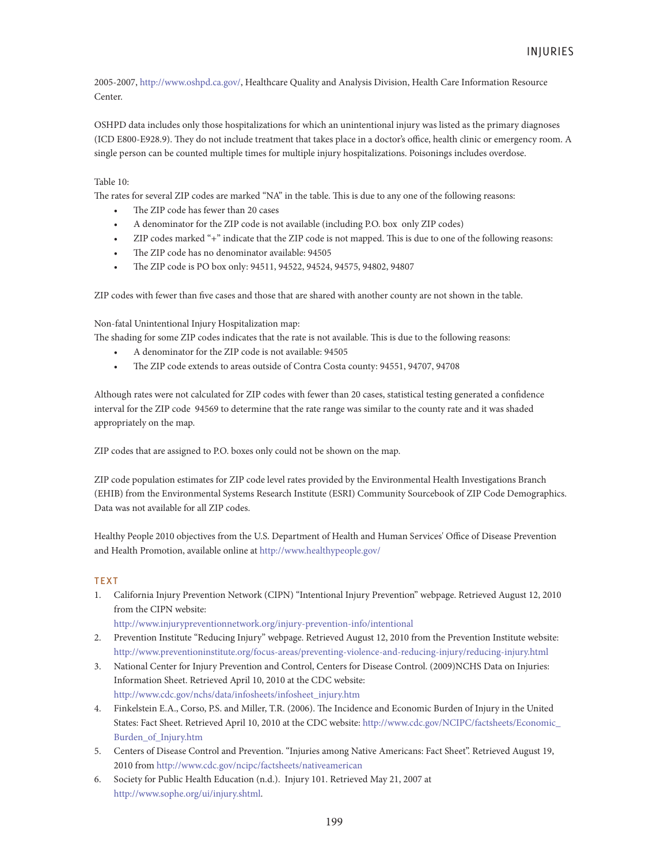2005-2007, http://www.oshpd.ca.gov/, Healthcare Quality and Analysis Division, Health Care Information Resource Center.

OSHPD data includes only those hospitalizations for which an unintentional injury was listed as the primary diagnoses (ICD E800-E928.9). They do not include treatment that takes place in a doctor's office, health clinic or emergency room. A single person can be counted multiple times for multiple injury hospitalizations. Poisonings includes overdose.

#### Table 10:

The rates for several ZIP codes are marked "NA" in the table. This is due to any one of the following reasons:

- The ZIP code has fewer than 20 cases
- A denominator for the ZIP code is not available (including P.O. box only ZIP codes)
- ZIP codes marked "+" indicate that the ZIP code is not mapped. This is due to one of the following reasons:
- The ZIP code has no denominator available: 94505
- The ZIP code is PO box only: 94511, 94522, 94524, 94575, 94802, 94807

ZIP codes with fewer than five cases and those that are shared with another county are not shown in the table.

Non-fatal Unintentional Injury Hospitalization map:

The shading for some ZIP codes indicates that the rate is not available. This is due to the following reasons:

- A denominator for the ZIP code is not available: 94505
- The ZIP code extends to areas outside of Contra Costa county: 94551, 94707, 94708

Although rates were not calculated for ZIP codes with fewer than 20 cases, statistical testing generated a confidence interval for the ZIP code 94569 to determine that the rate range was similar to the county rate and it was shaded appropriately on the map.

ZIP codes that are assigned to P.O. boxes only could not be shown on the map.

ZIP code population estimates for ZIP code level rates provided by the Environmental Health Investigations Branch (EHIB) from the Environmental Systems Research Institute (ESRI) Community Sourcebook of ZIP Code Demographics. Data was not available for all ZIP codes.

Healthy People 2010 objectives from the U.S. Department of Health and Human Services' Office of Disease Prevention and Health Promotion, available online at http://www.healthypeople.gov/

#### **TEXT**

1. California Injury Prevention Network (CIPN) "Intentional Injury Prevention" webpage. Retrieved August 12, 2010 from the CIPN website:

http://www.injurypreventionnetwork.org/injury-prevention-info/intentional

- 2. Prevention Institute "Reducing Injury" webpage. Retrieved August 12, 2010 from the Prevention Institute website: http://www.preventioninstitute.org/focus-areas/preventing-violence-and-reducing-injury/reducing-injury.html
- 3. National Center for Injury Prevention and Control, Centers for Disease Control. (2009)NCHS Data on Injuries: Information Sheet. Retrieved April 10, 2010 at the CDC website: http://www.cdc.gov/nchs/data/infosheets/infosheet\_injury.htm
- 4. Finkelstein E.A., Corso, P.S. and Miller, T.R. (2006). The Incidence and Economic Burden of Injury in the United States: Fact Sheet. Retrieved April 10, 2010 at the CDC website: http://www.cdc.gov/NCIPC/factsheets/Economic\_ Burden\_of\_Injury.htm
- 5. Centers of Disease Control and Prevention. "Injuries among Native Americans: Fact Sheet". Retrieved August 19, 2010 from http://www.cdc.gov/ncipc/factsheets/nativeamerican
- 6. Society for Public Health Education (n.d.). Injury 101. Retrieved May 21, 2007 at http://www.sophe.org/ui/injury.shtml.